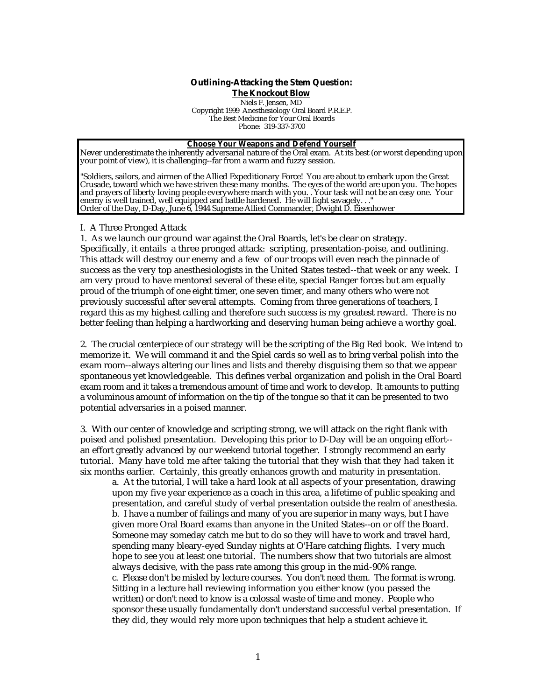## **Outlining-Attacking the Stem Question:**

**The Knockout Blow** 

Niels F. Jensen, MD Copyright 1999 Anesthesiology Oral Board P.R.E.P. The Best Medicine for Your Oral Boards Phone: 319-337-3700

#### **Choose Your Weapons and Defend Yourself**

Never underestimate the inherently adversarial nature of the Oral exam. At its best (or worst depending upon your point of view), it is challenging--far from a warm and fuzzy session.

"Soldiers, sailors, and airmen of the Allied Expeditionary Force! You are about to embark upon the Great Crusade, toward which we have striven these many months. The eyes of the world are upon you. The hopes and prayers of liberty loving people everywhere march with you. . Your task will not be an easy one. Your enemy is well trained, well equipped and battle hardened. He will fight savagely. . ." Order of the Day, D-Day, June 6, 1944 Supreme Allied Commander, Dwight D. Eisenhower

#### I. A Three Pronged Attack

1. As we launch our ground war against the Oral Boards, let's be clear on strategy. Specifically, it entails a three pronged attack: scripting, presentation-poise, and outlining. This attack will destroy our enemy and a few of our troops will even reach the pinnacle of success as the very top anesthesiologists in the United States tested--that week or any week. I am very proud to have mentored several of these elite, special Ranger forces but am equally proud of the triumph of one eight timer, one seven timer, and many others who were not previously successful after several attempts. Coming from three generations of teachers, I regard this as my highest calling and therefore such success is my greatest reward. There is no better feeling than helping a hardworking and deserving human being achieve a worthy goal.

2. The crucial centerpiece of our strategy will be the scripting of the Big Red book. We intend to memorize it. We will command it and the Spiel cards so well as to bring verbal polish into the exam room--always altering our lines and lists and thereby disguising them so that we appear spontaneous yet knowledgeable. This defines verbal organization and polish in the Oral Board exam room and it takes a tremendous amount of time and work to develop. It amounts to putting a voluminous amount of information on the tip of the tongue so that it can be presented to two potential adversaries in a poised manner.

3. With our center of knowledge and scripting strong, we will attack on the right flank with poised and polished presentation. Developing this prior to D-Day will be an ongoing effort- an effort greatly advanced by our weekend tutorial together. I strongly recommend an early tutorial. Many have told me after taking the tutorial that they wish that they had taken it six months earlier. Certainly, this greatly enhances growth and maturity in presentation.

a. At the tutorial, I will take a hard look at all aspects of your presentation, drawing upon my five year experience as a coach in this area, a lifetime of public speaking and presentation, and careful study of verbal presentation outside the realm of anesthesia. b. I have a number of failings and many of you are superior in many ways, but I have given more Oral Board exams than anyone in the United States--on or off the Board. Someone may someday catch me but to do so they will have to work and travel hard, spending many bleary-eyed Sunday nights at O'Hare catching flights. I very much hope to see you at least one tutorial. The numbers show that two tutorials are almost always decisive, with the pass rate among this group in the mid-90% range. c. Please don't be misled by lecture courses. You don't need them. The format is wrong. Sitting in a lecture hall reviewing information you either know (you passed the written) or don't need to know is a colossal waste of time and money. People who sponsor these usually fundamentally don't understand successful verbal presentation. If they did, they would rely more upon techniques that help a student achieve it.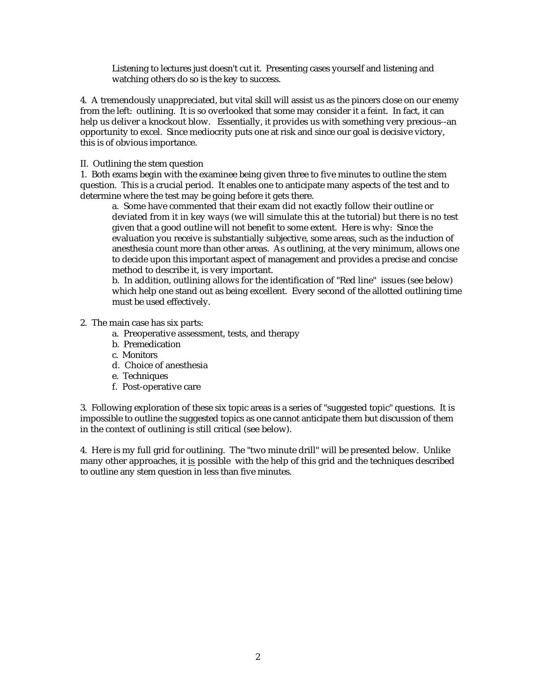Listening to lectures just doesn't cut it. Presenting cases yourself and listening and watching others do so is the key to success.

4. A tremendously unappreciated, but vital skill will assist us as the pincers close on our enemy from the left: outlining. It is so overlooked that some may consider it a feint. In fact, it can help us deliver a knockout blow. Essentially, it provides us with something very precious--an opportunity to excel. Since mediocrity puts one at risk and since our goal is decisive victory, this is of obvious importance.

#### II. Outlining the stem question

1. Both exams begin with the examinee being given three to five minutes to outline the stem question. This is a crucial period. It enables one to anticipate many aspects of the test and to determine where the test may be going before it gets there.

a. Some have commented that their exam did not exactly follow their outline or deviated from it in key ways (we will simulate this at the tutorial) but there is no test given that a good outline will not benefit to some extent. Here is why: Since the evaluation you receive is substantially subjective, some areas, such as the induction of anesthesia count more than other areas. As outlining, at the very minimum, allows one to decide upon this important aspect of management and provides a precise and concise method to describe it, is very important.

b. In addition, outlining allows for the identification of "Red line" issues (see below) which help one stand out as being excellent. Every second of the allotted outlining time must be used effectively.

## 2. The main case has six parts:

- a. Preoperative assessment, tests, and therapy
- b. Premedication
- c. Monitors
- d. Choice of anesthesia
- e. Techniques
- f. Post-operative care

3. Following exploration of these six topic areas is a series of "suggested topic" questions. It is impossible to outline the suggested topics as one cannot anticipate them but discussion of them in the context of outlining is still critical (see below).

4. Here is my full grid for outlining. The "two minute drill" will be presented below. Unlike many other approaches, it is possible with the help of this grid and the techniques described to outline any stem question in less than five minutes.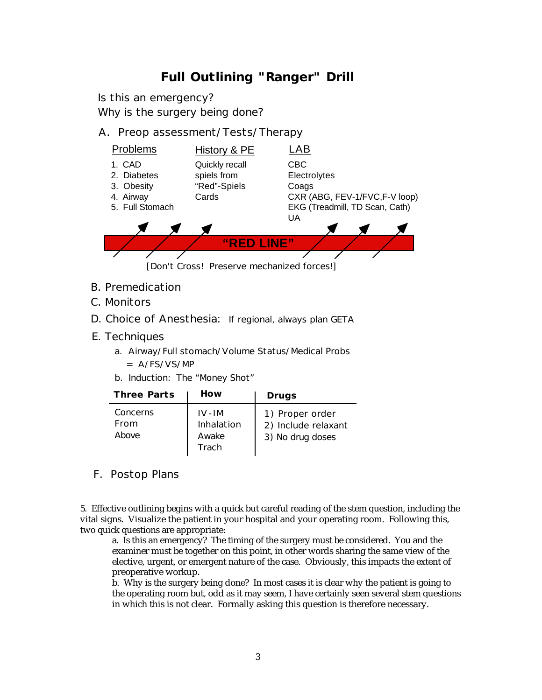# **Full Outlining "Ranger" Drill**

Is this an emergency?

Why is the surgery being done?

# A. Preop assessment/Tests/Therapy



- B. Premedication
- C. Monitors
- D. Choice of Anesthesia: If regional, always plan GETA
- E. Techniques
	- a. Airway/Full stomach/Volume Status/Medical Probs
		- = A/FS/VS/MP
	- b. Induction: The "Money Shot"

| <b>Three Parts</b>        | How                                     | Drugs                                                      |
|---------------------------|-----------------------------------------|------------------------------------------------------------|
| Concerns<br>From<br>Above | $IV-IM$<br>Inhalation<br>Awake<br>Trach | 1) Proper order<br>2) Include relaxant<br>3) No drug doses |

F. Postop Plans

5. Effective outlining begins with a quick but careful reading of the stem question, including the vital signs. Visualize the patient in your hospital and your operating room. Following this, two quick questions are appropriate:

a. Is this an emergency? The timing of the surgery must be considered. You and the examiner must be together on this point, in other words sharing the same view of the elective, urgent, or emergent nature of the case. Obviously, this impacts the extent of preoperative workup.

b. Why is the surgery being done? In most cases it is clear why the patient is going to the operating room but, odd as it may seem, I have certainly seen several stem questions in which this is not clear. Formally asking this question is therefore necessary.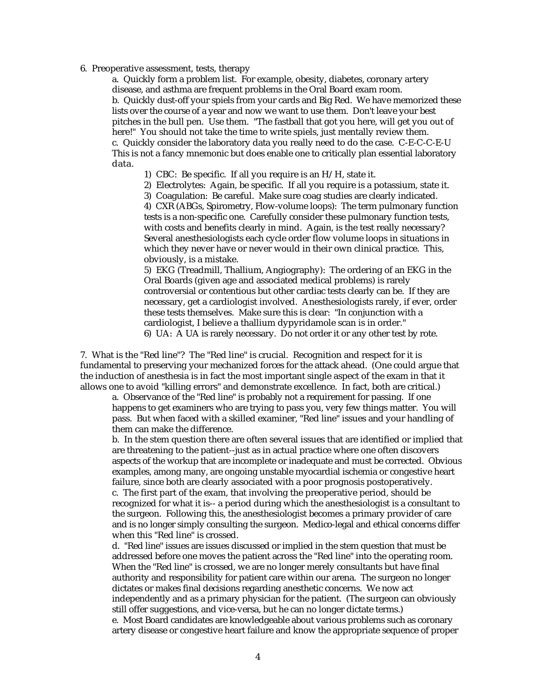#### 6. Preoperative assessment, tests, therapy

a. Quickly form a problem list. For example, obesity, diabetes, coronary artery disease, and asthma are frequent problems in the Oral Board exam room. b. Quickly dust-off your spiels from your cards and Big Red. We have memorized these lists over the course of a year and now we want to use them. Don't leave your best pitches in the bull pen. Use them. "The fastball that got you here, will get you out of here!" You should not take the time to write spiels, just mentally review them. c. Quickly consider the laboratory data you really need to do the case. C-E-C-C-E-U This is not a fancy mnemonic but does enable one to critically plan essential laboratory data.

1) CBC: Be specific. If all you require is an H/H, state it.

2) Electrolytes: Again, be specific. If all you require is a potassium, state it.

3) Coagulation: Be careful. Make sure coag studies are clearly indicated. 4) CXR (ABGs, Spirometry, Flow-volume loops): The term pulmonary function tests is a non-specific one. Carefully consider these pulmonary function tests, with costs and benefits clearly in mind. Again, is the test really necessary? Several anesthesiologists each cycle order flow volume loops in situations in which they never have or never would in their own clinical practice. This, obviously, is a mistake.

5) EKG (Treadmill, Thallium, Angiography): The ordering of an EKG in the Oral Boards (given age and associated medical problems) is rarely controversial or contentious but other cardiac tests clearly can be. If they are necessary, get a cardiologist involved. Anesthesiologists rarely, if ever, order these tests themselves. Make sure this is clear: "In conjunction with a cardiologist, I believe a thallium dypyridamole scan is in order." 6) UA: A UA is rarely necessary. Do not order it or any other test by rote.

7. What is the "Red line"? The "Red line" is crucial. Recognition and respect for it is fundamental to preserving your mechanized forces for the attack ahead. (One could argue that the induction of anesthesia is in fact the most important single aspect of the exam in that it allows one to avoid "killing errors" and demonstrate excellence. In fact, both are critical.)

a. Observance of the "Red line" is probably not a requirement for passing. If one happens to get examiners who are trying to pass you, very few things matter. You will pass. But when faced with a skilled examiner, "Red line" issues and your handling of them can make the difference.

b. In the stem question there are often several issues that are identified or implied that are threatening to the patient--just as in actual practice where one often discovers aspects of the workup that are incomplete or inadequate and must be corrected. Obvious examples, among many, are ongoing unstable myocardial ischemia or congestive heart failure, since both are clearly associated with a poor prognosis postoperatively.

c. The first part of the exam, that involving the preoperative period, should be recognized for what it is-- a period during which the anesthesiologist is a consultant to the surgeon. Following this, the anesthesiologist becomes a primary provider of care and is no longer simply consulting the surgeon. Medico-legal and ethical concerns differ when this "Red line" is crossed.

d. "Red line" issues are issues discussed or implied in the stem question that must be addressed before one moves the patient across the "Red line" into the operating room. When the "Red line" is crossed, we are no longer merely consultants but have final authority and responsibility for patient care within our arena. The surgeon no longer dictates or makes final decisions regarding anesthetic concerns. We now act independently and as a primary physician for the patient. (The surgeon can obviously still offer suggestions, and vice-versa, but he can no longer dictate terms.) e. Most Board candidates are knowledgeable about various problems such as coronary artery disease or congestive heart failure and know the appropriate sequence of proper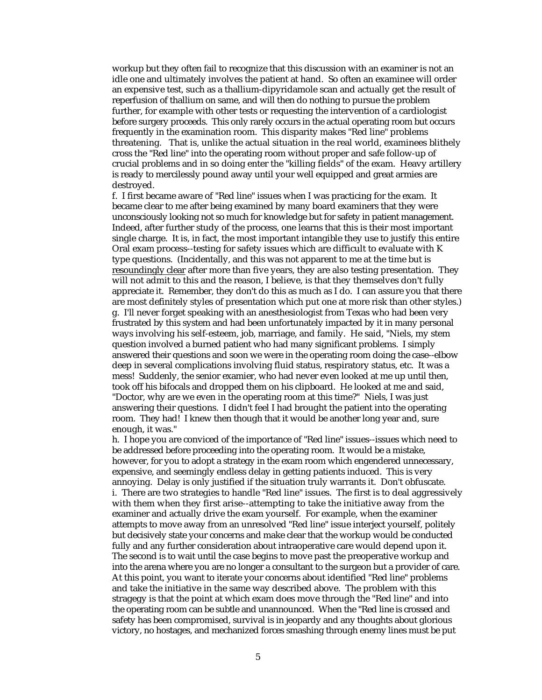workup but they often fail to recognize that this discussion with an examiner is not an idle one and ultimately involves the patient at hand. So often an examinee will order an expensive test, such as a thallium-dipyridamole scan and actually get the result of reperfusion of thallium on same, and will then do nothing to pursue the problem further, for example with other tests or requesting the intervention of a cardiologist before surgery proceeds. This only rarely occurs in the actual operating room but occurs frequently in the examination room. This disparity makes "Red line" problems threatening. That is, unlike the actual situation in the real world, examinees blithely cross the "Red line" into the operating room without proper and safe follow-up of crucial problems and in so doing enter the "killing fields" of the exam. Heavy artillery is ready to mercilessly pound away until your well equipped and great armies are destroyed.

f. I first became aware of "Red line" issues when I was practicing for the exam. It became clear to me after being examined by many board examiners that they were unconsciously looking not so much for knowledge but for safety in patient management. Indeed, after further study of the process, one learns that this is their most important single charge. It is, in fact, the most important intangible they use to justify this entire Oral exam process--testing for safety issues which are difficult to evaluate with K type questions. (Incidentally, and this was not apparent to me at the time but is resoundingly clear after more than five years, they are also testing presentation. They will not admit to this and the reason, I believe, is that they themselves don't fully appreciate it. Remember, they don't do this as much as I do. I can assure you that there are most definitely styles of presentation which put one at more risk than other styles.) g. I'll never forget speaking with an anesthesiologist from Texas who had been very frustrated by this system and had been unfortunately impacted by it in many personal ways involving his self-esteem, job, marriage, and family. He said, "Niels, my stem question involved a burned patient who had many significant problems. I simply answered their questions and soon we were in the operating room doing the case--elbow deep in several complications involving fluid status, respiratory status, etc. It was a mess! Suddenly, the senior examier, who had never even looked at me up until then, took off his bifocals and dropped them on his clipboard. He looked at me and said, "Doctor, why are we even in the operating room at this time?" Niels, I was just answering their questions. I didn't feel I had brought the patient into the operating room. They had! I knew then though that it would be another long year and, sure enough, it was."

h. I hope you are conviced of the importance of "Red line" issues--issues which need to be addressed before proceeding into the operating room. It would be a mistake, however, for you to adopt a strategy in the exam room which engendered unnecessary, expensive, and seemingly endless delay in getting patients induced. This is very annoying. Delay is only justified if the situation truly warrants it. Don't obfuscate. i. There are two strategies to handle "Red line" issues. The first is to deal aggressively with them when they first arise--attempting to take the initiative away from the examiner and actually drive the exam yourself. For example, when the examiner attempts to move away from an unresolved "Red line" issue interject yourself, politely but decisively state your concerns and make clear that the workup would be conducted fully and any further consideration about intraoperative care would depend upon it. The second is to wait until the case begins to move past the preoperative workup and into the arena where you are no longer a consultant to the surgeon but a provider of care. At this point, you want to iterate your concerns about identified "Red line" problems and take the initiative in the same way described above. The problem with this stragegy is that the point at which exam does move through the "Red line" and into the operating room can be subtle and unannounced. When the "Red line is crossed and safety has been compromised, survival is in jeopardy and any thoughts about glorious victory, no hostages, and mechanized forces smashing through enemy lines must be put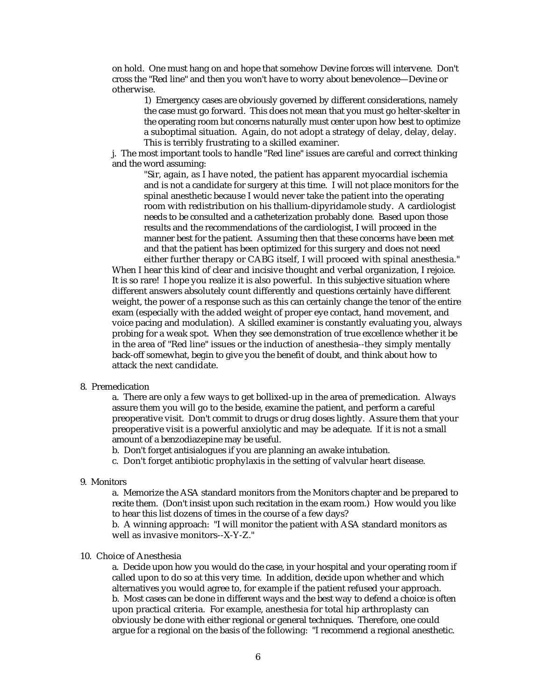on hold. One must hang on and hope that somehow Devine forces will intervene. Don't cross the "Red line" and then you won't have to worry about benevolence—Devine or otherwise.

1) Emergency cases are obviously governed by different considerations, namely the case must go forward. This does not mean that you must go helter-skelter in the operating room but concerns naturally must center upon how best to optimize a suboptimal situation. Again, do not adopt a strategy of delay, delay, delay. This is terribly frustrating to a skilled examiner.

j. The most important tools to handle "Red line" issues are careful and correct thinking and the word assuming:

"Sir, again, as I have noted, the patient has apparent myocardial ischemia and is not a candidate for surgery at this time. I will not place monitors for the spinal anesthetic because I would never take the patient into the operating room with redistribution on his thallium-dipyridamole study. A cardiologist needs to be consulted and a catheterization probably done. Based upon those results and the recommendations of the cardiologist, I will proceed in the manner best for the patient. Assuming then that these concerns have been met and that the patient has been optimized for this surgery and does not need either further therapy or CABG itself, I will proceed with spinal anesthesia."

When I hear this kind of clear and incisive thought and verbal organization, I rejoice. It is so rare! I hope you realize it is also powerful. In this subjective situation where different answers absolutely count differently and questions certainly have different weight, the power of a response such as this can certainly change the tenor of the entire exam (especially with the added weight of proper eye contact, hand movement, and voice pacing and modulation). A skilled examiner is constantly evaluating you, always probing for a weak spot. When they see demonstration of true excellence whether it be in the area of "Red line" issues or the induction of anesthesia--they simply mentally back-off somewhat, begin to give you the benefit of doubt, and think about how to attack the next candidate.

#### 8. Premedication

a. There are only a few ways to get bollixed-up in the area of premedication. Always assure them you will go to the beside, examine the patient, and perform a careful preoperative visit. Don't commit to drugs or drug doses lightly. Assure them that your preoperative visit is a powerful anxiolytic and may be adequate. If it is not a small amount of a benzodiazepine may be useful.

- b. Don't forget antisialogues if you are planning an awake intubation.
- c. Don't forget antibiotic prophylaxis in the setting of valvular heart disease.

### 9. Monitors

a. Memorize the ASA standard monitors from the Monitors chapter and be prepared to recite them. (Don't insist upon such recitation in the exam room.) How would you like to hear this list dozens of times in the course of a few days?

b. A winning approach: "I will monitor the patient with ASA standard monitors as well as invasive monitors--X-Y-Z."

#### 10. Choice of Anesthesia

a. Decide upon how you would do the case, in your hospital and your operating room if called upon to do so at this very time. In addition, decide upon whether and which alternatives you would agree to, for example if the patient refused your approach. b. Most cases can be done in different ways and the best way to defend a choice is often upon practical criteria. For example, anesthesia for total hip arthroplasty can obviously be done with either regional or general techniques. Therefore, one could argue for a regional on the basis of the following: "I recommend a regional anesthetic.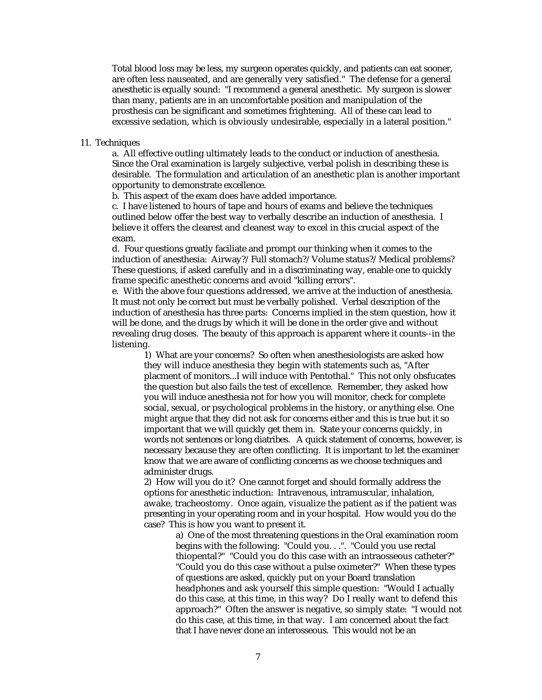Total blood loss may be less, my surgeon operates quickly, and patients can eat sooner, are often less nauseated, and are generally very satisfied." The defense for a general anesthetic is equally sound: "I recommend a general anesthetic. My surgeon is slower than many, patients are in an uncomfortable position and manipulation of the prosthesis can be significant and sometimes frightening. All of these can lead to excessive sedation, which is obviously undesirable, especially in a lateral position."

#### 11. Techniques

a. All effective outling ultimately leads to the conduct or induction of anesthesia. Since the Oral examination is largely subjective, verbal polish in describing these is desirable. The formulation and articulation of an anesthetic plan is another important opportunity to demonstrate excellence.

b. This aspect of the exam does have added importance.

c. I have listened to hours of tape and hours of exams and believe the techniques outlined below offer the best way to verbally describe an induction of anesthesia. I believe it offers the clearest and cleanest way to excel in this crucial aspect of the exam.

d. Four questions greatly faciliate and prompt our thinking when it comes to the induction of anesthesia: Airway?/Full stomach?/Volume status?/Medical problems? These questions, if asked carefully and in a discriminating way, enable one to quickly frame specific anesthetic concerns and avoid "killing errors".

e. With the above four questions addressed, we arrive at the induction of anesthesia. It must not only be correct but must be verbally polished. Verbal description of the induction of anesthesia has three parts: Concerns implied in the stem question, how it will be done, and the drugs by which it will be done in the order give and without revealing drug doses. The beauty of this approach is apparent where it counts--in the listening.

1) What are your concerns? So often when anesthesiologists are asked how they will induce anesthesia they begin with statements such as, "After placment of monitors...I will induce with Pentothal." This not only obsfucates the question but also fails the test of excellence. Remember, they asked how you will induce anesthesia not for how you will monitor, check for complete social, sexual, or psychological problems in the history, or anything else. One might argue that they did not ask for concerns either and this is true but it so important that we will quickly get them in. State your concerns quickly, in words not sentences or long diatribes. A quick statement of concerns, however, is necessary because they are often conflicting. It is important to let the examiner know that we are aware of conflicting concerns as we choose techniques and administer drugs.

2) How will you do it? One cannot forget and should formally address the options for anesthetic induction: Intravenous, intramuscular, inhalation, awake, tracheostomy. Once again, visualize the patient as if the patient was presenting in your operating room and in your hospital. How would you do the case? This is how you want to present it.

a) One of the most threatening questions in the Oral examination room begins with the following: "Could you. . .". "Could you use rectal thiopental?" "Could you do this case with an intraosseous catheter?" "Could you do this case without a pulse oximeter?" When these types of questions are asked, quickly put on your Board translation headphones and ask yourself this simple question: "Would I actually do this case, at this time, in this way? Do I really want to defend this approach?" Often the answer is negative, so simply state: "I would not do this case, at this time, in that way. I am concerned about the fact that I have never done an interosseous. This would not be an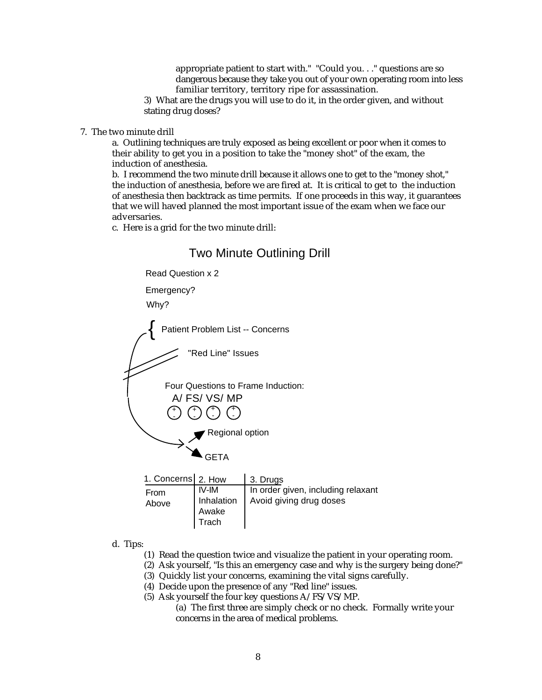appropriate patient to start with." "Could you. . ." questions are so dangerous because they take you out of your own operating room into less familiar territory, territory ripe for assassination.

3) What are the drugs you will use to do it, in the order given, and without stating drug doses?

7. The two minute drill

a. Outlining techniques are truly exposed as being excellent or poor when it comes to their ability to get you in a position to take the "money shot" of the exam, the induction of anesthesia.

b. I recommend the two minute drill because it allows one to get to the "money shot," the induction of anesthesia, before we are fired at. It is critical to get to the induction of anesthesia then backtrack as time permits. If one proceeds in this way, it guarantees that we will haved planned the most important issue of the exam when we face our adversaries.

c. Here is a grid for the two minute drill:

# Two Minute Outlining Drill

Read Question x 2

Emergency?

Why?

{ Patient Problem List -- Concerns

"Red Line" Issues

A/ FS/ VS/ MP + + + + Four Questions to Frame Induction:

- - - - Regional option

**GETA** 

| 1. Concerns 2. How |                                                    | 3. Drugs                                                      |
|--------------------|----------------------------------------------------|---------------------------------------------------------------|
| From<br>Above      | IV-IM<br>Inhalation<br>Awake<br><sup>I</sup> Trach | In order given, including relaxant<br>Avoid giving drug doses |

d. Tips:

- (1) Read the question twice and visualize the patient in your operating room.
- (2) Ask yourself, "Is this an emergency case and why is the surgery being done?"
- (3) Quickly list your concerns, examining the vital signs carefully.
- (4) Decide upon the presence of any "Red line" issues.
- (5) Ask yourself the four key questions A/FS/VS/MP.
	- (a) The first three are simply check or no check. Formally write your concerns in the area of medical problems.